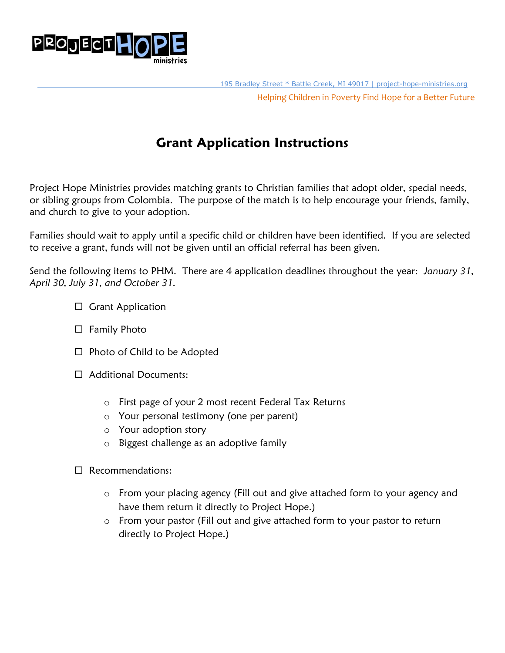

### **Grant Application Instructions**

Project Hope Ministries provides matching grants to Christian families that adopt older, special needs, or sibling groups from Colombia. The purpose of the match is to help encourage your friends, family, and church to give to your adoption.

Families should wait to apply until a specific child or children have been identified. If you are selected to receive a grant, funds will not be given until an official referral has been given.

Send the following items to PHM. There are 4 application deadlines throughout the year: *January 31, April 30, July 31, and October 31.* 

- $\Box$  Grant Application
- $\Box$  Family Photo
- $\Box$  Photo of Child to be Adopted
- □ Additional Documents:
	- o First page of your 2 most recent Federal Tax Returns
	- o Your personal testimony (one per parent)
	- o Your adoption story
	- o Biggest challenge as an adoptive family
- □ Recommendations:
	- o From your placing agency (Fill out and give attached form to your agency and have them return it directly to Project Hope.)
	- o From your pastor (Fill out and give attached form to your pastor to return directly to Project Hope.)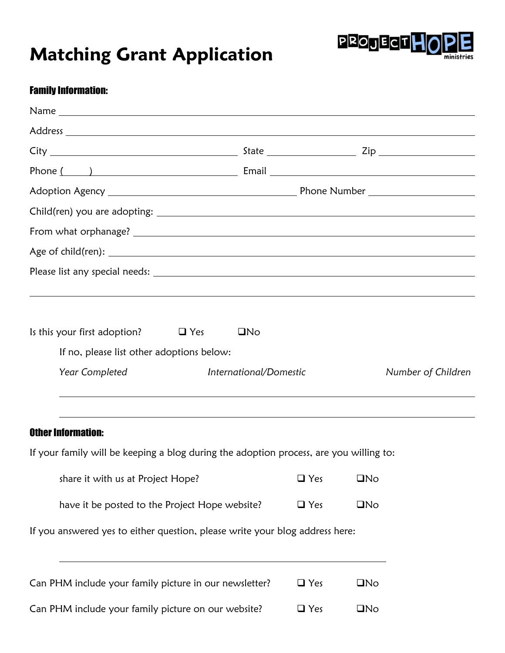# **Matching Grant Application**



#### Family Information:

| Phone $\begin{pmatrix} 1 & 1 \end{pmatrix}$                                            |                        |            |              |                    |
|----------------------------------------------------------------------------------------|------------------------|------------|--------------|--------------------|
|                                                                                        |                        |            |              |                    |
|                                                                                        |                        |            |              |                    |
|                                                                                        |                        |            |              |                    |
|                                                                                        |                        |            |              |                    |
|                                                                                        |                        |            |              |                    |
|                                                                                        |                        |            |              |                    |
| Is this your first adoption? $\Box$ Yes                                                | $\square$ No           |            |              |                    |
| If no, please list other adoptions below:                                              |                        |            |              |                    |
|                                                                                        |                        |            |              |                    |
| Year Completed                                                                         | International/Domestic |            |              | Number of Children |
|                                                                                        |                        |            |              |                    |
| <b>Other Information:</b>                                                              |                        |            |              |                    |
| If your family will be keeping a blog during the adoption process, are you willing to: |                        |            |              |                    |
| share it with us at Project Hope?                                                      |                        | $\Box$ Yes | $\square$ No |                    |
| have it be posted to the Project Hope website?                                         |                        | $\Box$ Yes | $\square$ No |                    |
| If you answered yes to either question, please write your blog address here:           |                        |            |              |                    |
| Can PHM include your family picture in our newsletter?                                 |                        | $\Box$ Yes | $\square$ No |                    |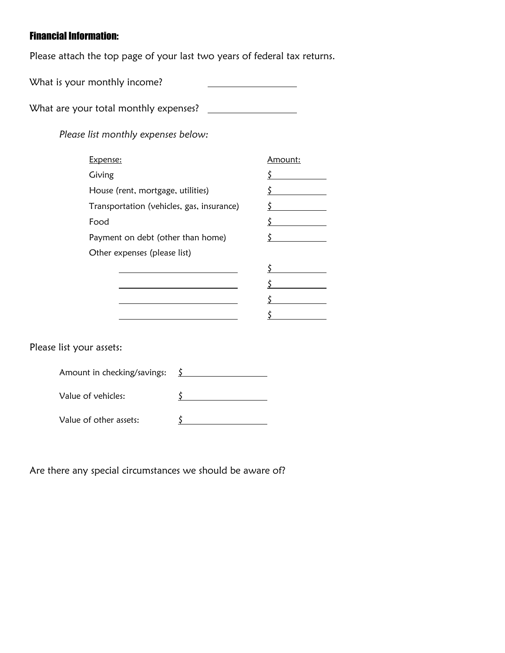#### Financial Information:

Please attach the top page of your last two years of federal tax returns.

What is your monthly income? 

What are your total monthly expenses?

*Please list monthly expenses below:*

| <u>Expense:</u>                           | Amount: |
|-------------------------------------------|---------|
| Giving                                    |         |
| House (rent, mortgage, utilities)         |         |
| Transportation (vehicles, gas, insurance) |         |
| Food                                      |         |
| Payment on debt (other than home)         |         |
| Other expenses (please list)              |         |
|                                           |         |
|                                           |         |
|                                           |         |
|                                           |         |

Please list your assets:

| Amount in checking/savings: |  |
|-----------------------------|--|
| Value of vehicles:          |  |
| Value of other assets:      |  |

Are there any special circumstances we should be aware of?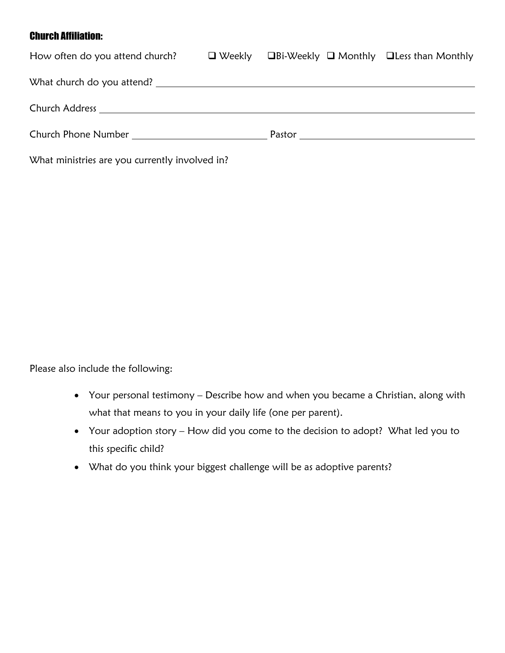#### Church Affiliation:

| How often do you attend church? $\Box$ Weekly  | $\Box$ Bi-Weekly $\Box$ Monthly $\Box$ Less than Monthly |  |
|------------------------------------------------|----------------------------------------------------------|--|
|                                                |                                                          |  |
|                                                |                                                          |  |
| <b>Church Phone Number Church Phone Number</b> |                                                          |  |
|                                                |                                                          |  |

What ministries are you currently involved in?

Please also include the following:

- Your personal testimony Describe how and when you became a Christian, along with what that means to you in your daily life (one per parent).
- Your adoption story How did you come to the decision to adopt? What led you to this specific child?
- What do you think your biggest challenge will be as adoptive parents?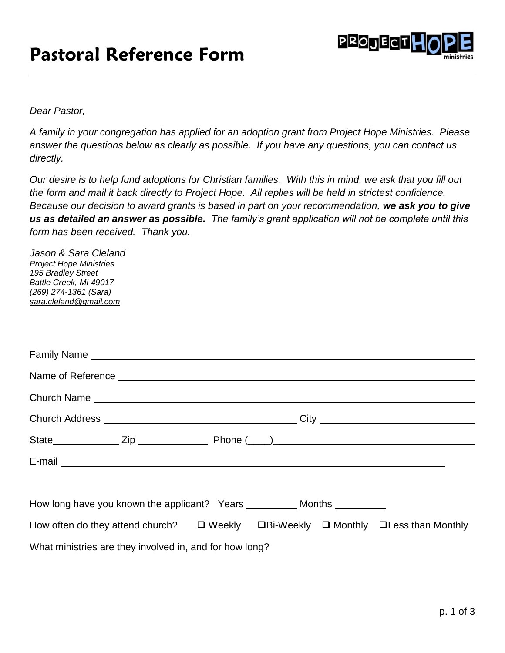### **Pastoral Reference Form**



*Dear Pastor,*

*A family in your congregation has applied for an adoption grant from Project Hope Ministries. Please answer the questions below as clearly as possible. If you have any questions, you can contact us directly.* 

*Our desire is to help fund adoptions for Christian families. With this in mind, we ask that you fill out the form and mail it back directly to Project Hope. All replies will be held in strictest confidence. Because our decision to award grants is based in part on your recommendation, we ask you to give us as detailed an answer as possible. The family's grant application will not be complete until this form has been received. Thank you.*

| Jason & Sara Cleland<br><b>Project Hope Ministries</b><br>195 Bradley Street<br>Battle Creek, MI 49017<br>(269) 274-1361 (Sara)<br>sara.cleland@gmail.com |  |  |
|-----------------------------------------------------------------------------------------------------------------------------------------------------------|--|--|
|                                                                                                                                                           |  |  |
|                                                                                                                                                           |  |  |
|                                                                                                                                                           |  |  |
|                                                                                                                                                           |  |  |
|                                                                                                                                                           |  |  |
|                                                                                                                                                           |  |  |
|                                                                                                                                                           |  |  |
| How often do they attend church? $\Box$ Weekly $\Box$ Bi-Weekly $\Box$ Monthly $\Box$ Less than Monthly                                                   |  |  |
| What ministries are they involved in, and for how long?                                                                                                   |  |  |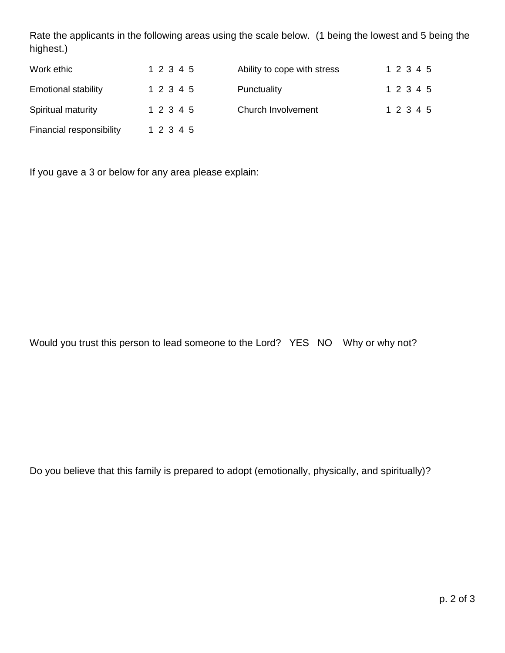Rate the applicants in the following areas using the scale below. (1 being the lowest and 5 being the highest.)

| Work ethic                 | 1 2 3 4 5 | Ability to cope with stress | 1 2 3 4 5 |
|----------------------------|-----------|-----------------------------|-----------|
| <b>Emotional stability</b> | 1 2 3 4 5 | Punctuality                 | 1 2 3 4 5 |
| Spiritual maturity         | 1 2 3 4 5 | Church Involvement          | 1 2 3 4 5 |
| Financial responsibility   | 1 2 3 4 5 |                             |           |

If you gave a 3 or below for any area please explain:

Would you trust this person to lead someone to the Lord? YES NO Why or why not?

Do you believe that this family is prepared to adopt (emotionally, physically, and spiritually)?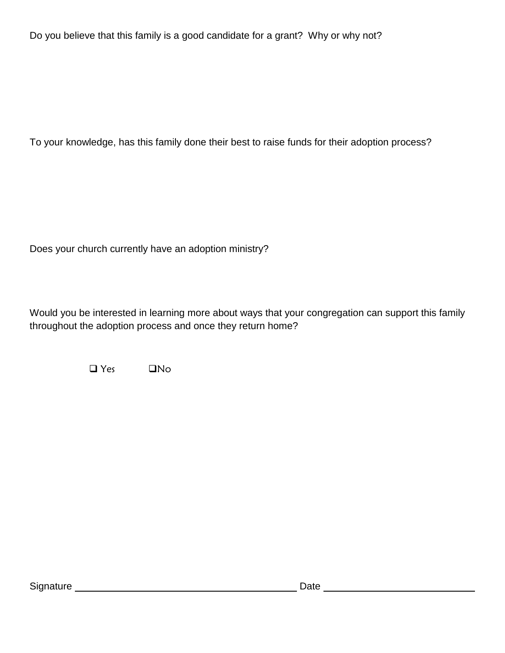Do you believe that this family is a good candidate for a grant? Why or why not?

To your knowledge, has this family done their best to raise funds for their adoption process?

Does your church currently have an adoption ministry?

Would you be interested in learning more about ways that your congregation can support this family throughout the adoption process and once they return home?

 $\Box$  Yes  $\Box$  No